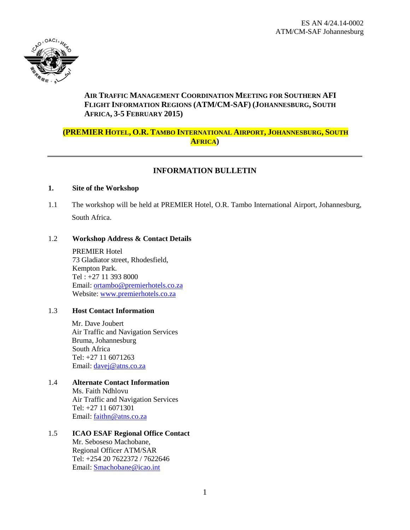

# **AIR TRAFFIC MANAGEMENT COORDINATION MEETING FOR SOUTHERN AFI FLIGHT INFORMATION REGIONS (ATM/CM-SAF) (JOHANNESBURG, SOUTH AFRICA, 3-5 FEBRUARY 2015)**

# **(PREMIER HOTEL, O.R. TAMBO INTERNATIONAL AIRPORT, JOHANNESBURG, SOUTH AFRICA)**

# **INFORMATION BULLETIN**

#### **1. Site of the Workshop**

1.1 The workshop will be held at PREMIER Hotel, O.R. Tambo International Airport, Johannesburg, South Africa.

### 1.2 **Workshop Address & Contact Details**

PREMIER Hotel 73 Gladiator street, Rhodesfield, Kempton Park. Tel : +27 11 393 8000 Email: [ortambo@premierhotels.co.za](mailto:ortambo@premierhotels.co.za) Website: [www.premierhotels.co.za](http://www.premierhotels.co.za/)

#### 1.3 **Host Contact Information**

Mr. Dave Joubert Air Traffic and Navigation Services Bruma, Johannesburg South Africa [Tel: +](Tel:+27)27 11 6071263 Email: [davej@atns.co.za](mailto:davej@atns.co.za)

# 1.4 **Alternate Contact Information**

Ms. Faith Ndhlovu Air Traffic and Navigation Services [Tel: +](Tel:+27)27 11 6071301 Email: [faithn@atns.co.za](mailto:faithn@atns.co.za)

# 1.5 **ICAO ESAF Regional Office Contact**

Mr. Seboseso Machobane, Regional Officer ATM/SAR Tel: +254 20 7622372 / 7622646 Email: [Smachobane@icao.int](mailto:Smachobane@icao.int)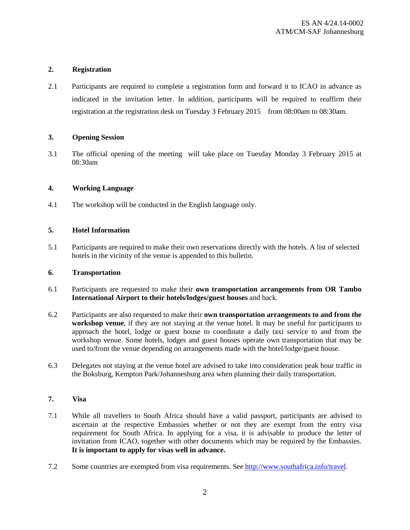### **2. Registration**

2.1 Participants are required to complete a registration form and forward it to ICAO in advance as indicated in the invitation letter. In addition, participants will be required to reaffirm their registration at the registration desk on Tuesday 3 February 2015 from 08:00am to 08:30am.

#### **3. Opening Session**

3.1 The official opening of the meeting will take place on Tuesday Monday 3 February 2015 at 08:30am

### **4. Working Language**

4.1 The workshop will be conducted in the English language only.

### **5. Hotel Information**

5.1 Participants are required to make their own reservations directly with the hotels. A list of selected hotels in the vicinity of the venue is appended to this bulletin.

#### **6. Transportation**

- 6.1 Participants are requested to make their **own transportation arrangements from OR Tambo International Airport to their hotels/lodges/guest houses** and back.
- 6.2 Participants are also requested to make their **own transportation arrangements to and from the workshop venue**, if they are not staying at the venue hotel. It may be useful for participants to approach the hotel, lodge or guest house to coordinate a daily taxi service to and from the workshop venue. Some hotels, lodges and guest houses operate own transportation that may be used to/from the venue depending on arrangements made with the hotel/lodge/guest house.
- 6.3 Delegates not staying at the venue hotel are advised to take into consideration peak hour traffic in the Boksburg, Kempton Park/Johannesburg area when planning their daily transportation.

## **7. Visa**

- 7.1 While all travellers to South Africa should have a valid passport, participants are advised to ascertain at the respective Embassies whether or not they are exempt from the entry visa requirement for South Africa. In applying for a visa, it is advisable to produce the letter of invitation from ICAO, together with other documents which may be required by the Embassies. **It is important to apply for visas well in advance.**
- 7.2 Some countries are exempted from visa requirements. See [http://www.southafrica.info/travel.](http://www.southafrica.info/travel)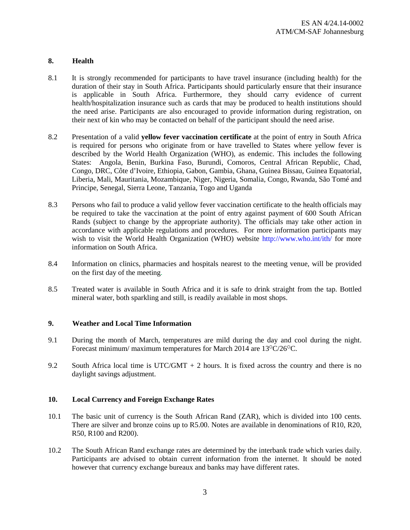# **8. Health**

- 8.1 It is strongly recommended for participants to have travel insurance (including health) for the duration of their stay in South Africa. Participants should particularly ensure that their insurance is applicable in South Africa. Furthermore, they should carry evidence of current health/hospitalization insurance such as cards that may be produced to health institutions should the need arise. Participants are also encouraged to provide information during registration, on their next of kin who may be contacted on behalf of the participant should the need arise.
- 8.2 Presentation of a valid **yellow fever vaccination certificate** at the point of entry in South Africa is required for persons who originate from or have travelled to States where yellow fever is described by the World Health Organization (WHO), as endemic. This includes the following States: Angola, Benin, Burkina Faso, Burundi, Comoros, Central African Republic, Chad, Congo, DRC, Côte d'Ivoire, Ethiopia, Gabon, Gambia, Ghana, Guinea Bissau, Guinea Equatorial, Liberia, Mali, Mauritania, Mozambique, Niger, Nigeria, Somalia, Congo, Rwanda, São Tomé and Principe, Senegal, Sierra Leone, Tanzania, Togo and Uganda
- 8.3 Persons who fail to produce a valid yellow fever vaccination certificate to the health officials may be required to take the vaccination at the point of entry against payment of 600 South African Rands (subject to change by the appropriate authority). The officials may take other action in accordance with applicable regulations and procedures. For more information participants may wish to visit the World Health Organization (WHO) website http://www.who.int/ith/ for more information on South Africa.
- 8.4 Information on clinics, pharmacies and hospitals nearest to the meeting venue, will be provided on the first day of the meeting.
- 8.5 Treated water is available in South Africa and it is safe to drink straight from the tap. Bottled mineral water, both sparkling and still, is readily available in most shops.

#### **9. Weather and Local Time Information**

- 9.1 During the month of March, temperatures are mild during the day and cool during the night. Forecast minimum/ maximum temperatures for March 2014 are  $13^{\circ}C/26^{\circ}C$ .
- 9.2 South Africa local time is UTC/GMT  $+$  2 hours. It is fixed across the country and there is no daylight savings adjustment.

#### **10. Local Currency and Foreign Exchange Rates**

- 10.1 The basic unit of currency is the South African Rand (ZAR), which is divided into 100 cents. There are silver and bronze coins up to R5.00. Notes are available in denominations of R10, R20, R50, R100 and R200).
- 10.2 The South African Rand exchange rates are determined by the interbank trade which varies daily. Participants are advised to obtain current information from the internet. It should be noted however that currency exchange bureaux and banks may have different rates.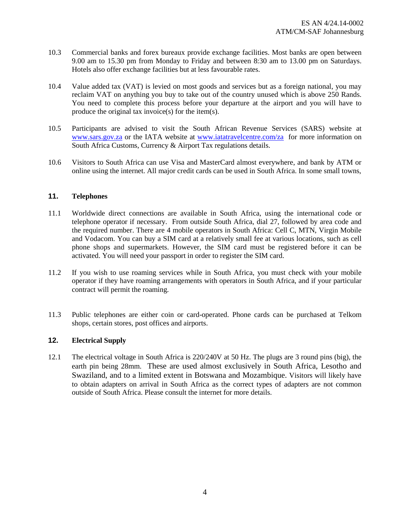- 10.3 Commercial banks and forex bureaux provide exchange facilities. Most banks are open between 9.00 am to 15.30 pm from Monday to Friday and between 8:30 am to 13.00 pm on Saturdays. Hotels also offer exchange facilities but at less favourable rates.
- 10.4 Value added tax (VAT) is levied on most goods and services but as a foreign national, you may reclaim VAT on anything you buy to take out of the country unused which is above 250 Rands. You need to complete this process before your departure at the airport and you will have to produce the original tax invoice(s) for the item(s).
- 10.5 Participants are advised to visit the South African Revenue Services (SARS) website at [www.sars.gov.za](http://www.sars.gov.za/) or the IATA website at [www.iatatravelcentre.com/za](http://www.iatatravelcentre.com/za) for more information on South Africa Customs, Currency & Airport Tax regulations details.
- 10.6 Visitors to South Africa can use Visa and MasterCard almost everywhere, and bank by ATM or online using the internet. All major credit cards can be used in South Africa. In some small towns,

### **11. Telephones**

- 11.1 Worldwide direct connections are available in South Africa, using the international code or telephone operator if necessary. From outside South Africa, dial 27, followed by area code and the required number. There are 4 mobile operators in South Africa: Cell C, MTN, Virgin Mobile and Vodacom. You can buy a SIM card at a relatively small fee at various locations, such as cell phone shops and supermarkets. However, the SIM card must be registered before it can be activated. You will need your passport in order to register the SIM card.
- 11.2 If you wish to use roaming services while in South Africa, you must check with your mobile operator if they have roaming arrangements with operators in South Africa, and if your particular contract will permit the roaming.
- 11.3 Public telephones are either coin or card-operated. Phone cards can be purchased at Telkom shops, certain stores, post offices and airports.

# **12. Electrical Supply**

12.1 The electrical voltage in South Africa is 220/240V at 50 Hz. The plugs are 3 round pins (big), the earth pin being 28mm. These are used almost exclusively in South Africa, Lesotho and Swaziland, and to a limited extent in Botswana and Mozambique. Visitors will likely have to obtain adapters on arrival in South Africa as the correct types of adapters are not common outside of South Africa. Please consult the internet for more details.